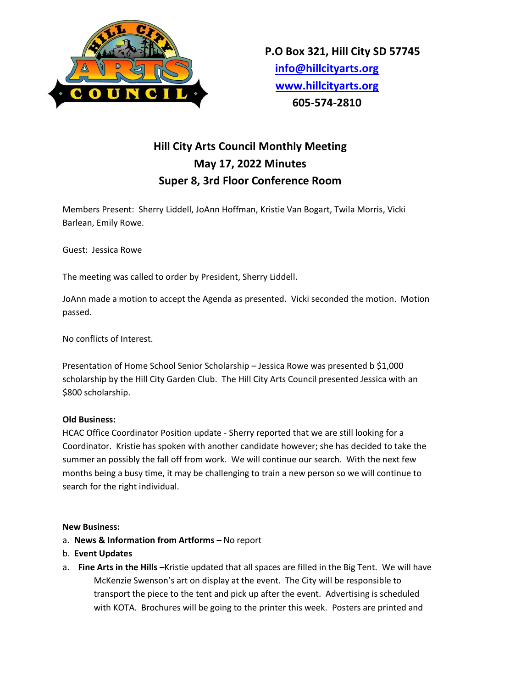

## **Hill City Arts Council Monthly Meeting May 17, 2022 Minutes Super 8, 3rd Floor Conference Room**

Members Present: Sherry Liddell, JoAnn Hoffman, Kristie Van Bogart, Twila Morris, Vicki Barlean, Emily Rowe.

Guest: Jessica Rowe

The meeting was called to order by President, Sherry Liddell.

JoAnn made a motion to accept the Agenda as presented. Vicki seconded the motion. Motion passed.

No conflicts of Interest.

Presentation of Home School Senior Scholarship – Jessica Rowe was presented b \$1,000 scholarship by the Hill City Garden Club. The Hill City Arts Council presented Jessica with an \$800 scholarship.

## **Old Business:**

HCAC Office Coordinator Position update - Sherry reported that we are still looking for a Coordinator. Kristie has spoken with another candidate however; she has decided to take the summer an possibly the fall off from work. We will continue our search. With the next few months being a busy time, it may be challenging to train a new person so we will continue to search for the right individual.

## **New Business:**

- a. **News & Information from Artforms –** No report
- b. **Event Updates**
- a. **Fine Arts in the Hills –**Kristie updated that all spaces are filled in the Big Tent. We will have McKenzie Swenson's art on display at the event. The City will be responsible to transport the piece to the tent and pick up after the event. Advertising is scheduled with KOTA. Brochures will be going to the printer this week. Posters are printed and